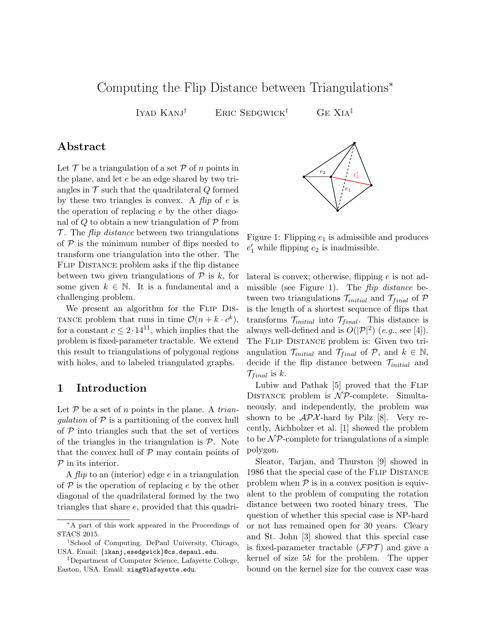# Computing the Flip Distance between Triangulations<sup>∗</sup>

IYAD KANJ<sup>†</sup> ERIC SEDGWICK<sup>†</sup> GE XIA<sup>‡</sup>

#### Abstract

Let  $\mathcal T$  be a triangulation of a set  $\mathcal P$  of n points in the plane, and let e be an edge shared by two triangles in  $\mathcal T$  such that the quadrilateral  $Q$  formed by these two triangles is convex. A  $flip$  of  $e$  is the operation of replacing e by the other diagonal of Q to obtain a new triangulation of  $\mathcal P$  from  $\mathcal{T}$ . The *flip distance* between two triangulations of  $P$  is the minimum number of flips needed to transform one triangulation into the other. The Flip Distance problem asks if the flip distance between two given triangulations of  $P$  is k, for some given  $k \in \mathbb{N}$ . It is a fundamental and a challenging problem.

We present an algorithm for the FLIP DIS-TANCE problem that runs in time  $\mathcal{O}(n + k \cdot c^k)$ , for a constant  $c \leq 2 \cdot 14^{11}$ , which implies that the problem is fixed-parameter tractable. We extend this result to triangulations of polygonal regions with holes, and to labeled triangulated graphs.

### 1 Introduction

Let  $P$  be a set of n points in the plane. A trianqulation of  $P$  is a partitioning of the convex hull of  $P$  into triangles such that the set of vertices of the triangles in the triangulation is  $P$ . Note that the convex hull of  $P$  may contain points of  $P$  in its interior.

A *flip* to an (interior) edge  $e$  in a triangulation of  $P$  is the operation of replacing e by the other diagonal of the quadrilateral formed by the two triangles that share e, provided that this quadri-



Figure 1: Flipping  $e_1$  is admissible and produces  $e'_1$  while flipping  $e_2$  is inadmissible.

lateral is convex; otherwise, flipping e is not admissible (see Figure 1). The flip distance between two triangulations  $\mathcal{T}_{initial}$  and  $\mathcal{T}_{final}$  of P is the length of a shortest sequence of flips that transforms  $\mathcal{T}_{initial}$  into  $\mathcal{T}_{final}$ . This distance is always well-defined and is  $O(|\mathcal{P}|^2)$  (e.g., see [4]). The Flip Distance problem is: Given two triangulation  $\mathcal{T}_{initial}$  and  $\mathcal{T}_{final}$  of  $\mathcal{P}$ , and  $k \in \mathbb{N}$ , decide if the flip distance between  $\mathcal{T}_{initial}$  and  $\mathcal{T}_{final}$  is k.

Lubiw and Pathak [5] proved that the Flip DISTANCE problem is  $N\mathcal{P}$ -complete. Simultaneously, and independently, the problem was shown to be  $\mathcal{APX}$ -hard by Pilz [8]. Very recently, Aichholzer et al. [1] showed the problem to be  $\mathcal{NP}$ -complete for triangulations of a simple polygon.

Sleator, Tarjan, and Thurston [9] showed in 1986 that the special case of the Flip Distance problem when  $P$  is in a convex position is equivalent to the problem of computing the rotation distance between two rooted binary trees. The question of whether this special case is NP-hard or not has remained open for 30 years. Cleary and St. John [3] showed that this special case is fixed-parameter tractable  $(\mathcal{FPT})$  and gave a kernel of size 5k for the problem. The upper bound on the kernel size for the convex case was

<sup>∗</sup>A part of this work appeared in the Proceedings of STACS 2015.

<sup>†</sup>School of Computing, DePaul University, Chicago, USA. Email: {ikanj,esedgwick}@cs.depaul.edu.

<sup>‡</sup>Department of Computer Science, Lafayette College, Easton, USA. Email: xiag@lafayette.edu.